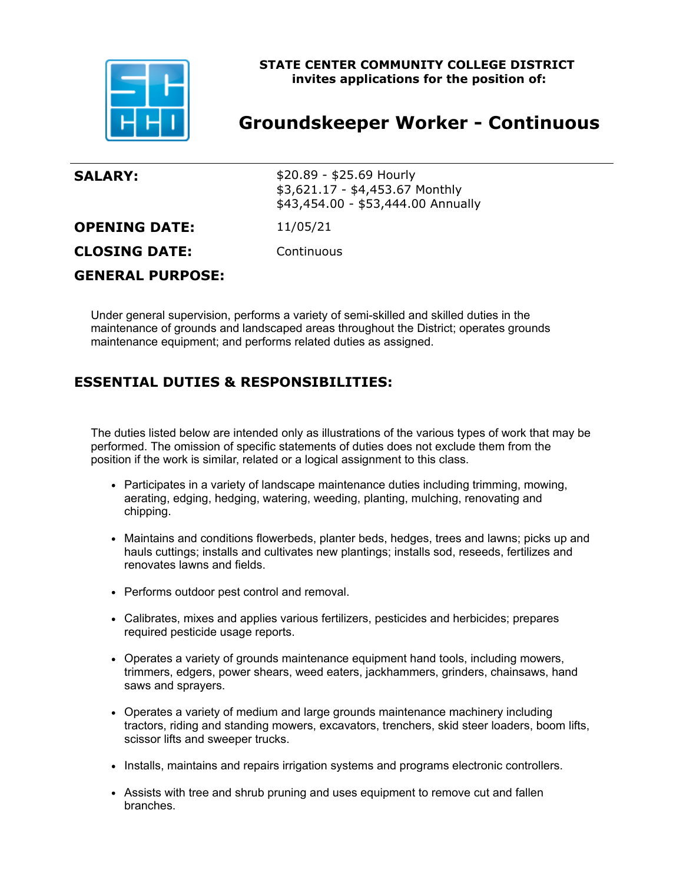

# **STATE CENTER COMMUNITY COLLEGE DISTRICT invites applications for the position of:**

# **Groundskeeper Worker - Continuous**

| <b>SALARY:</b>          | $$20.89 - $25.69$ Hourly<br>\$3,621.17 - \$4,453.67 Monthly<br>\$43,454.00 - \$53,444.00 Annually |
|-------------------------|---------------------------------------------------------------------------------------------------|
| <b>OPENING DATE:</b>    | 11/05/21                                                                                          |
| <b>CLOSING DATE:</b>    | Continuous                                                                                        |
| <b>GENERAL PURPOSE:</b> |                                                                                                   |

Under general supervision, performs a variety of semi-skilled and skilled duties in the maintenance of grounds and landscaped areas throughout the District; operates grounds maintenance equipment; and performs related duties as assigned.

# **ESSENTIAL DUTIES & RESPONSIBILITIES:**

The duties listed below are intended only as illustrations of the various types of work that may be performed. The omission of specific statements of duties does not exclude them from the position if the work is similar, related or a logical assignment to this class.

- Participates in a variety of landscape maintenance duties including trimming, mowing, aerating, edging, hedging, watering, weeding, planting, mulching, renovating and chipping.
- Maintains and conditions flowerbeds, planter beds, hedges, trees and lawns; picks up and hauls cuttings; installs and cultivates new plantings; installs sod, reseeds, fertilizes and renovates lawns and fields.
- Performs outdoor pest control and removal.
- Calibrates, mixes and applies various fertilizers, pesticides and herbicides; prepares required pesticide usage reports.
- Operates a variety of grounds maintenance equipment hand tools, including mowers, trimmers, edgers, power shears, weed eaters, jackhammers, grinders, chainsaws, hand saws and sprayers.
- Operates a variety of medium and large grounds maintenance machinery including tractors, riding and standing mowers, excavators, trenchers, skid steer loaders, boom lifts, scissor lifts and sweeper trucks.
- Installs, maintains and repairs irrigation systems and programs electronic controllers.
- Assists with tree and shrub pruning and uses equipment to remove cut and fallen branches.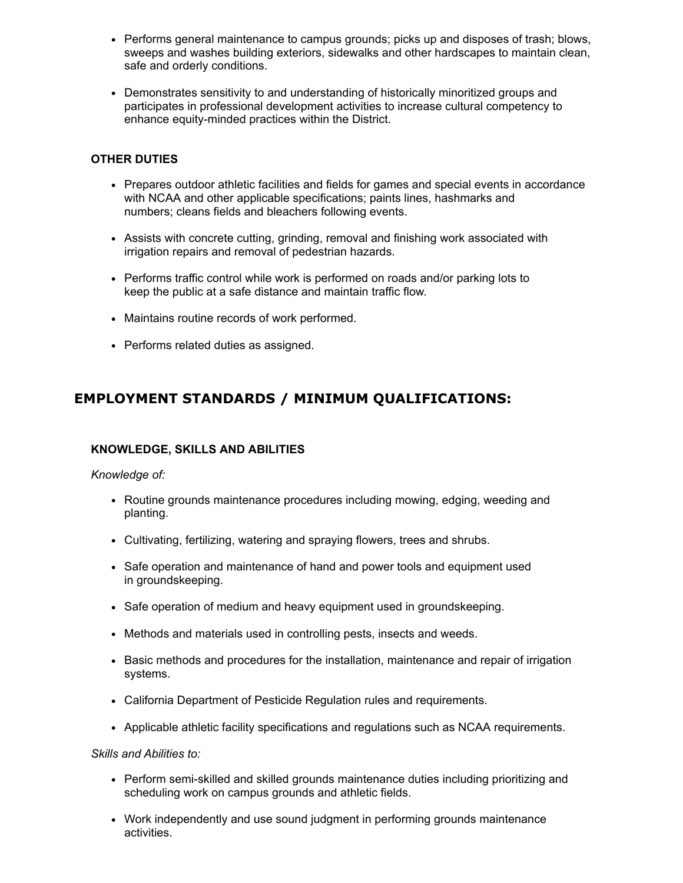- Performs general maintenance to campus grounds; picks up and disposes of trash; blows, sweeps and washes building exteriors, sidewalks and other hardscapes to maintain clean, safe and orderly conditions.
- Demonstrates sensitivity to and understanding of historically minoritized groups and participates in professional development activities to increase cultural competency to enhance equity-minded practices within the District.

## **OTHER DUTIES**

- Prepares outdoor athletic facilities and fields for games and special events in accordance with NCAA and other applicable specifications; paints lines, hashmarks and numbers; cleans fields and bleachers following events.
- Assists with concrete cutting, grinding, removal and finishing work associated with irrigation repairs and removal of pedestrian hazards.
- Performs traffic control while work is performed on roads and/or parking lots to keep the public at a safe distance and maintain traffic flow.
- Maintains routine records of work performed.
- Performs related duties as assigned.

# **EMPLOYMENT STANDARDS / MINIMUM QUALIFICATIONS:**

## **KNOWLEDGE, SKILLS AND ABILITIES**

#### *Knowledge of:*

- Routine grounds maintenance procedures including mowing, edging, weeding and planting.
- Cultivating, fertilizing, watering and spraying flowers, trees and shrubs.
- Safe operation and maintenance of hand and power tools and equipment used in groundskeeping.
- Safe operation of medium and heavy equipment used in groundskeeping.
- Methods and materials used in controlling pests, insects and weeds.
- Basic methods and procedures for the installation, maintenance and repair of irrigation systems.
- California Department of Pesticide Regulation rules and requirements.
- Applicable athletic facility specifications and regulations such as NCAA requirements.

#### *Skills and Abilities to:*

- Perform semi-skilled and skilled grounds maintenance duties including prioritizing and scheduling work on campus grounds and athletic fields.
- Work independently and use sound judgment in performing grounds maintenance activities.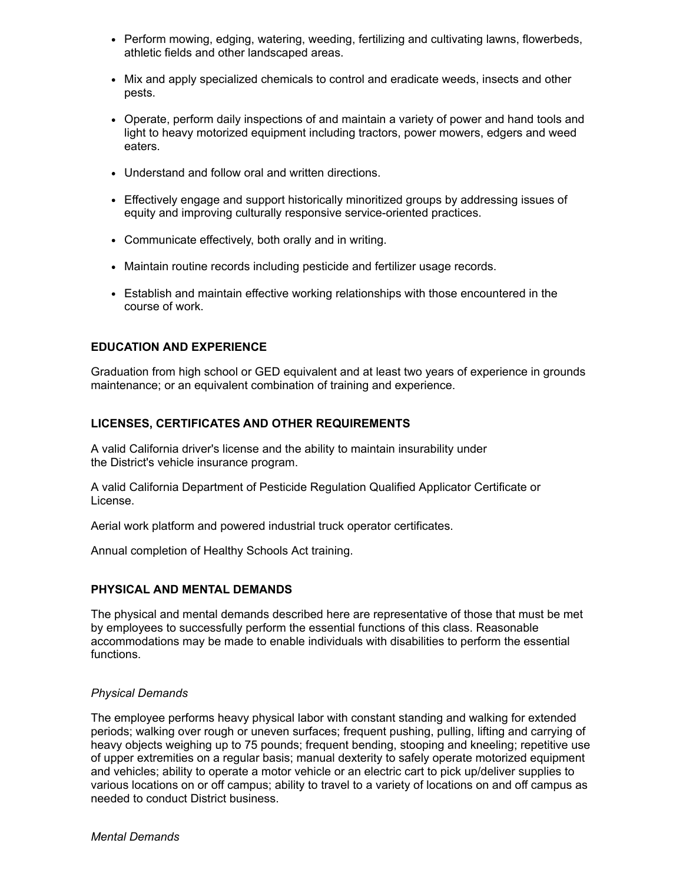- Perform mowing, edging, watering, weeding, fertilizing and cultivating lawns, flowerbeds, athletic fields and other landscaped areas.
- Mix and apply specialized chemicals to control and eradicate weeds, insects and other pests.
- Operate, perform daily inspections of and maintain a variety of power and hand tools and light to heavy motorized equipment including tractors, power mowers, edgers and weed eaters.
- Understand and follow oral and written directions.
- Effectively engage and support historically minoritized groups by addressing issues of equity and improving culturally responsive service-oriented practices.
- Communicate effectively, both orally and in writing.
- Maintain routine records including pesticide and fertilizer usage records.
- Establish and maintain effective working relationships with those encountered in the course of work.

## **EDUCATION AND EXPERIENCE**

Graduation from high school or GED equivalent and at least two years of experience in grounds maintenance; or an equivalent combination of training and experience.

## **LICENSES, CERTIFICATES AND OTHER REQUIREMENTS**

A valid California driver's license and the ability to maintain insurability under the District's vehicle insurance program.

A valid California Department of Pesticide Regulation Qualified Applicator Certificate or License.

Aerial work platform and powered industrial truck operator certificates.

Annual completion of Healthy Schools Act training.

## **PHYSICAL AND MENTAL DEMANDS**

The physical and mental demands described here are representative of those that must be met by employees to successfully perform the essential functions of this class. Reasonable accommodations may be made to enable individuals with disabilities to perform the essential functions.

## *Physical Demands*

The employee performs heavy physical labor with constant standing and walking for extended periods; walking over rough or uneven surfaces; frequent pushing, pulling, lifting and carrying of heavy objects weighing up to 75 pounds; frequent bending, stooping and kneeling; repetitive use of upper extremities on a regular basis; manual dexterity to safely operate motorized equipment and vehicles; ability to operate a motor vehicle or an electric cart to pick up/deliver supplies to various locations on or off campus; ability to travel to a variety of locations on and off campus as needed to conduct District business.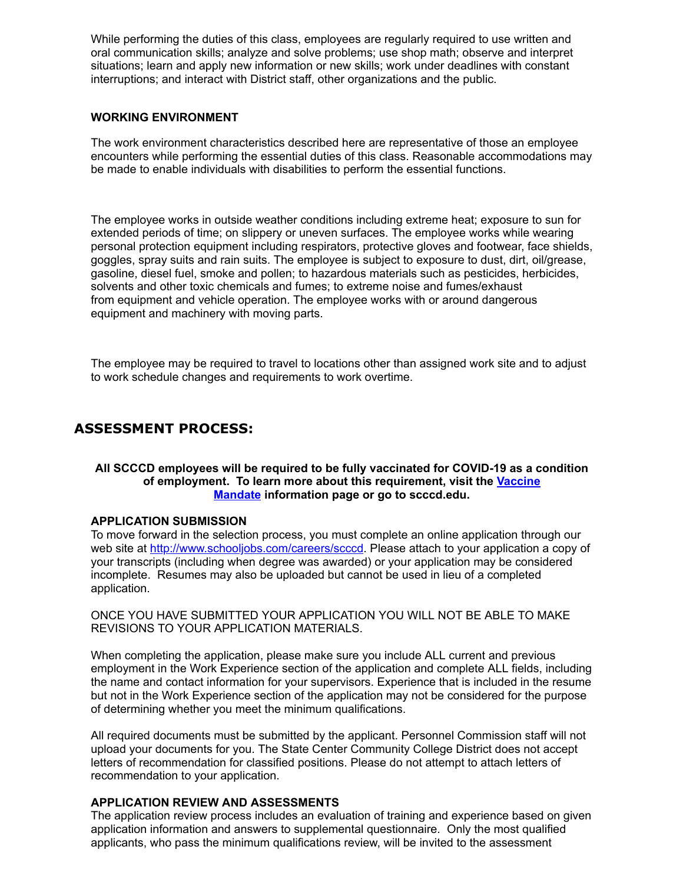While performing the duties of this class, employees are regularly required to use written and oral communication skills; analyze and solve problems; use shop math; observe and interpret situations; learn and apply new information or new skills; work under deadlines with constant interruptions; and interact with District staff, other organizations and the public.

#### **WORKING ENVIRONMENT**

The work environment characteristics described here are representative of those an employee encounters while performing the essential duties of this class. Reasonable accommodations may be made to enable individuals with disabilities to perform the essential functions.

The employee works in outside weather conditions including extreme heat; exposure to sun for extended periods of time; on slippery or uneven surfaces. The employee works while wearing personal protection equipment including respirators, protective gloves and footwear, face shields, goggles, spray suits and rain suits. The employee is subject to exposure to dust, dirt, oil/grease, gasoline, diesel fuel, smoke and pollen; to hazardous materials such as pesticides, herbicides, solvents and other toxic chemicals and fumes; to extreme noise and fumes/exhaust from equipment and vehicle operation. The employee works with or around dangerous equipment and machinery with moving parts.

The employee may be required to travel to locations other than assigned work site and to adjust to work schedule changes and requirements to work overtime.

# **ASSESSMENT PROCESS:**

#### **All SCCCD employees will be required to be fully vaccinated for COVID-19 as a condition of employm[ent. To learn more about this requirement, visit the](https://nam10.safelinks.protection.outlook.com/?url=https%3A%2F%2Fwww.scccd.edu%2Flp%2Fcoronavirus%2Fscccd-vaccine-requirement-faqs.html&data=04%7C01%7Cjennifer.gonzalez%40scccd.edu%7C9d350aafbf4c4f7fe5c708d97d456d78%7C82cf0ca31c1c4685a3045b45ed171ea8%7C1%7C0%7C637678559404338636%7CUnknown%7CTWFpbGZsb3d8eyJWIjoiMC4wLjAwMDAiLCJQIjoiV2luMzIiLCJBTiI6Ik1haWwiLCJXVCI6Mn0%3D%7C1000&sdata=Ma8f7fS5B5g8Lx3LnL5xhJxouo0OhCrdun73ZxkK2Qw%3D&reserved=0) Vaccine Mandate information page or go to scccd.edu.**

#### **APPLICATION SUBMISSION**

To move forward in the selection process, you must complete an online application through our web site at <http://www.schooljobs.com/careers/scccd>. Please attach to your application a copy of your transcripts (including when degree was awarded) or your application may be considered incomplete. Resumes may also be uploaded but cannot be used in lieu of a completed application.

ONCE YOU HAVE SUBMITTED YOUR APPLICATION YOU WILL NOT BE ABLE TO MAKE REVISIONS TO YOUR APPLICATION MATERIALS.

When completing the application, please make sure you include ALL current and previous employment in the Work Experience section of the application and complete ALL fields, including the name and contact information for your supervisors. Experience that is included in the resume but not in the Work Experience section of the application may not be considered for the purpose of determining whether you meet the minimum qualifications.

All required documents must be submitted by the applicant. Personnel Commission staff will not upload your documents for you. The State Center Community College District does not accept letters of recommendation for classified positions. Please do not attempt to attach letters of recommendation to your application.

## **APPLICATION REVIEW AND ASSESSMENTS**

The application review process includes an evaluation of training and experience based on given application information and answers to supplemental questionnaire. Only the most qualified applicants, who pass the minimum qualifications review, will be invited to the assessment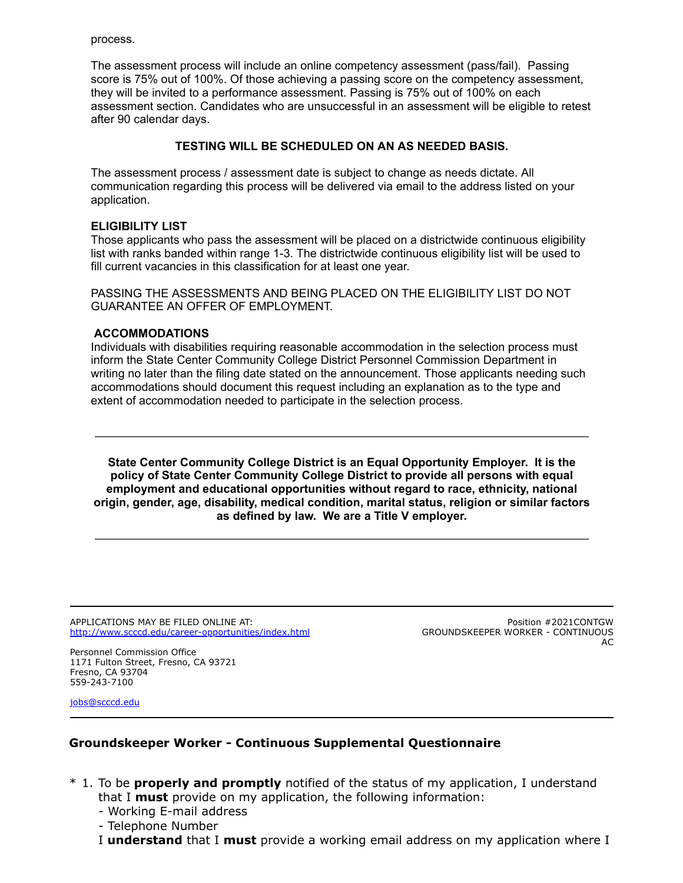process.

The assessment process will include an online competency assessment (pass/fail). Passing score is 75% out of 100%. Of those achieving a passing score on the competency assessment, they will be invited to a performance assessment. Passing is 75% out of 100% on each assessment section. Candidates who are unsuccessful in an assessment will be eligible to retest after 90 calendar days.

# **TESTING WILL BE SCHEDULED ON AN AS NEEDED BASIS.**

The assessment process / assessment date is subject to change as needs dictate. All communication regarding this process will be delivered via email to the address listed on your application.

## **ELIGIBILITY LIST**

Those applicants who pass the assessment will be placed on a districtwide continuous eligibility list with ranks banded within range 1-3. The districtwide continuous eligibility list will be used to fill current vacancies in this classification for at least one year.

PASSING THE ASSESSMENTS AND BEING PLACED ON THE ELIGIBILITY LIST DO NOT GUARANTEE AN OFFER OF EMPLOYMENT.

#### **ACCOMMODATIONS**

Individuals with disabilities requiring reasonable accommodation in the selection process must inform the State Center Community College District Personnel Commission Department in writing no later than the filing date stated on the announcement. Those applicants needing such accommodations should document this request including an explanation as to the type and extent of accommodation needed to participate in the selection process.

**State Center Community College District is an Equal Opportunity Employer. It is the policy of State Center Community College District to provide all persons with equal employment and educational opportunities without regard to race, ethnicity, national origin, gender, age, disability, medical condition, marital status, religion or similar factors as defined by law. We are a Title V employer.**

APPLICATIONS MAY BE FILED ONLINE AT: <http://www.scccd.edu/career-opportunities/index.html>

Position #2021CONTGW GROUNDSKEEPER WORKER - CONTINUOUS AC

Personnel Commission Office 1171 Fulton Street, Fresno, CA 93721 Fresno, CA 93704 559-243-7100

[jobs@scccd.edu](mailto:jobs@scccd.edu)

# **Groundskeeper Worker - Continuous Supplemental Questionnaire**

- \* 1. To be **properly and promptly** notified of the status of my application, I understand that I **must** provide on my application, the following information:
	- Working E-mail address
	- Telephone Number
	- I **understand** that I **must** provide a working email address on my application where I